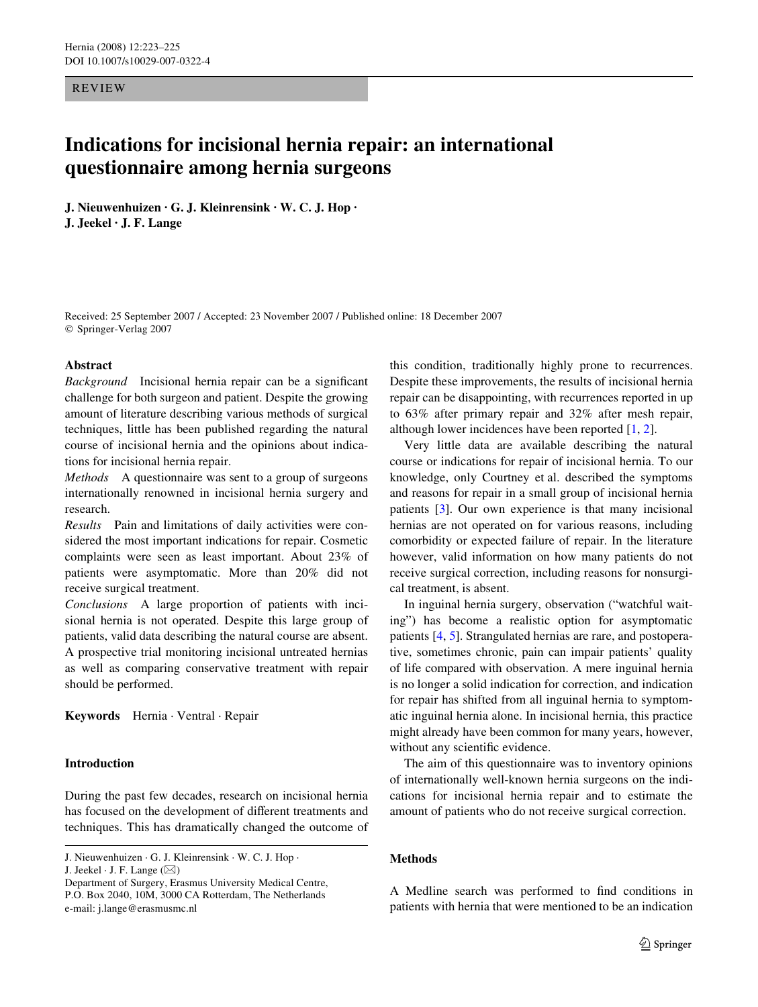REVIEW

# **Indications for incisional hernia repair: an international questionnaire among hernia surgeons**

**J. Nieuwenhuizen · G. J. Kleinrensink · W. C. J. Hop · J. Jeekel · J. F. Lange** 

Received: 25 September 2007 / Accepted: 23 November 2007 / Published online: 18 December 2007 © Springer-Verlag 2007

#### **Abstract**

*Background* Incisional hernia repair can be a significant challenge for both surgeon and patient. Despite the growing amount of literature describing various methods of surgical techniques, little has been published regarding the natural course of incisional hernia and the opinions about indications for incisional hernia repair.

*Methods* A questionnaire was sent to a group of surgeons internationally renowned in incisional hernia surgery and research.

*Results* Pain and limitations of daily activities were considered the most important indications for repair. Cosmetic complaints were seen as least important. About 23% of patients were asymptomatic. More than 20% did not receive surgical treatment.

*Conclusions* A large proportion of patients with incisional hernia is not operated. Despite this large group of patients, valid data describing the natural course are absent. A prospective trial monitoring incisional untreated hernias as well as comparing conservative treatment with repair should be performed.

**Keywords** Hernia · Ventral · Repair

# **Introduction**

During the past few decades, research on incisional hernia has focused on the development of different treatments and techniques. This has dramatically changed the outcome of

J. Jeekel  $\cdot$  J. F. Lange ( $\boxtimes$ )

this condition, traditionally highly prone to recurrences. Despite these improvements, the results of incisional hernia repair can be disappointing, with recurrences reported in up to 63% after primary repair and 32% after mesh repair, although lower incidences have been reported [\[1](#page-2-0), [2](#page-2-1)].

Very little data are available describing the natural course or indications for repair of incisional hernia. To our knowledge, only Courtney et al. described the symptoms and reasons for repair in a small group of incisional hernia patients [[3\]](#page-2-2). Our own experience is that many incisional hernias are not operated on for various reasons, including comorbidity or expected failure of repair. In the literature however, valid information on how many patients do not receive surgical correction, including reasons for nonsurgical treatment, is absent.

In inguinal hernia surgery, observation ("watchful waiting") has become a realistic option for asymptomatic patients [[4,](#page-2-3) [5\]](#page-2-4). Strangulated hernias are rare, and postoperative, sometimes chronic, pain can impair patients' quality of life compared with observation. A mere inguinal hernia is no longer a solid indication for correction, and indication for repair has shifted from all inguinal hernia to symptomatic inguinal hernia alone. In incisional hernia, this practice might already have been common for many years, however, without any scientific evidence.

The aim of this questionnaire was to inventory opinions of internationally well-known hernia surgeons on the indications for incisional hernia repair and to estimate the amount of patients who do not receive surgical correction.

#### **Methods**

A Medline search was performed to find conditions in patients with hernia that were mentioned to be an indication

J. Nieuwenhuizen · G. J. Kleinrensink · W. C. J. Hop ·

Department of Surgery, Erasmus University Medical Centre, P.O. Box 2040, 10M, 3000 CA Rotterdam, The Netherlands e-mail: j.lange@erasmusmc.nl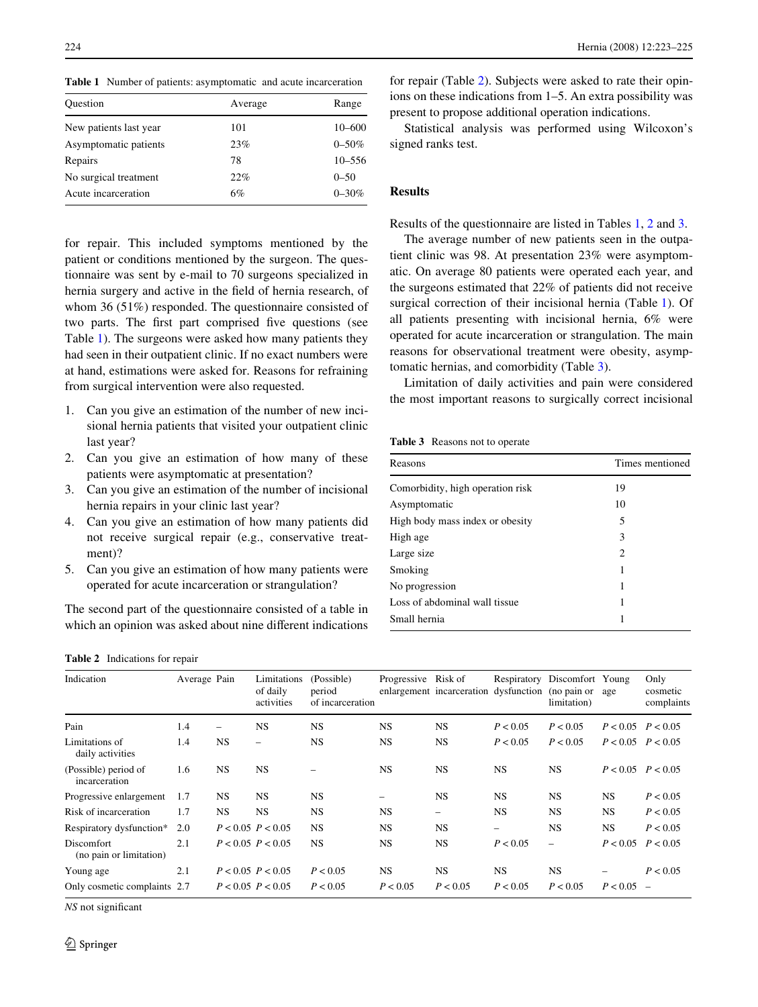<span id="page-1-0"></span>**Table 1** Number of patients: asymptomatic and acute incarceration

| Ouestion               | Average | Range      |  |  |
|------------------------|---------|------------|--|--|
| New patients last year | 101     | 10-600     |  |  |
| Asymptomatic patients  | 23%     | $0 - 50\%$ |  |  |
| Repairs                | 78      | $10 - 556$ |  |  |
| No surgical treatment  | 22%     | $0 - 50$   |  |  |
| Acute incarceration    | 6%      | $0 - 30\%$ |  |  |

for repair. This included symptoms mentioned by the patient or conditions mentioned by the surgeon. The questionnaire was sent by e-mail to 70 surgeons specialized in hernia surgery and active in the field of hernia research, of whom 36 (51%) responded. The questionnaire consisted of two parts. The first part comprised five questions (see Table [1](#page-1-0)). The surgeons were asked how many patients they had seen in their outpatient clinic. If no exact numbers were at hand, estimations were asked for. Reasons for refraining from surgical intervention were also requested.

- 1. Can you give an estimation of the number of new incisional hernia patients that visited your outpatient clinic last year?
- 2. Can you give an estimation of how many of these patients were asymptomatic at presentation?
- 3. Can you give an estimation of the number of incisional hernia repairs in your clinic last year?
- 4. Can you give an estimation of how many patients did not receive surgical repair (e.g., conservative treatment)?
- 5. Can you give an estimation of how many patients were operated for acute incarceration or strangulation?

The second part of the questionnaire consisted of a table in which an opinion was asked about nine different indications

224 Hernia (2008) 12:223–225

for repair (Table [2](#page-1-1)). Subjects were asked to rate their opinions on these indications from 1–5. An extra possibility was present to propose additional operation indications.

Statistical analysis was performed using Wilcoxon's signed ranks test.

## **Results**

Results of the questionnaire are listed in Tables [1](#page-1-0), [2](#page-1-1) and [3.](#page-1-2)

The average number of new patients seen in the outpatient clinic was 98. At presentation 23% were asymptomatic. On average 80 patients were operated each year, and the surgeons estimated that 22% of patients did not receive surgical correction of their incisional hernia (Table [1](#page-1-0)). Of all patients presenting with incisional hernia, 6% were operated for acute incarceration or strangulation. The main reasons for observational treatment were obesity, asymptomatic hernias, and comorbidity (Table [3](#page-1-2)).

Limitation of daily activities and pain were considered the most important reasons to surgically correct incisional

<span id="page-1-2"></span>**Table 3** Reasons not to operate

| Reasons                          | Times mentioned<br>19       |  |  |  |  |
|----------------------------------|-----------------------------|--|--|--|--|
| Comorbidity, high operation risk |                             |  |  |  |  |
| Asymptomatic                     | 10                          |  |  |  |  |
| High body mass index or obesity  | 5                           |  |  |  |  |
| High age                         | 3                           |  |  |  |  |
| Large size                       | $\mathcal{D}_{\mathcal{L}}$ |  |  |  |  |
| Smoking                          | 1                           |  |  |  |  |
| No progression                   | 1                           |  |  |  |  |
| Loss of abdominal wall tissue    |                             |  |  |  |  |
| Small hernia                     |                             |  |  |  |  |

<span id="page-1-1"></span>**Table 2** Indications for repair

| Indication                                   | Average Pain |                          | Limitations<br>of daily<br>activities | (Possible)<br>period<br>of incarceration | Progressive Risk of | enlargement incarceration dysfunction (no pain or | Respiratory | Discomfort Young<br>limitation) | age                   | Only<br>cosmetic<br>complaints |
|----------------------------------------------|--------------|--------------------------|---------------------------------------|------------------------------------------|---------------------|---------------------------------------------------|-------------|---------------------------------|-----------------------|--------------------------------|
| Pain                                         | 1.4          | $\overline{\phantom{0}}$ | <b>NS</b>                             | <b>NS</b>                                | <b>NS</b>           | <b>NS</b>                                         | P < 0.05    | P < 0.05                        | $P < 0.05$ $P < 0.05$ |                                |
| Limitations of<br>daily activities           | 1.4          | <b>NS</b>                | $\overline{\phantom{0}}$              | <b>NS</b>                                | <b>NS</b>           | <b>NS</b>                                         | P < 0.05    | P < 0.05                        | $P < 0.05$ $P < 0.05$ |                                |
| (Possible) period of<br>incarceration        | 1.6          | <b>NS</b>                | <b>NS</b>                             |                                          | <b>NS</b>           | <b>NS</b>                                         | <b>NS</b>   | <b>NS</b>                       | $P < 0.05$ $P < 0.05$ |                                |
| Progressive enlargement                      | 1.7          | <b>NS</b>                | <b>NS</b>                             | <b>NS</b>                                | -                   | <b>NS</b>                                         | <b>NS</b>   | <b>NS</b>                       | <b>NS</b>             | P < 0.05                       |
| Risk of incarceration                        | 1.7          | NS.                      | <b>NS</b>                             | <b>NS</b>                                | <b>NS</b>           | $\overline{\phantom{0}}$                          | NS          | <b>NS</b>                       | <b>NS</b>             | P < 0.05                       |
| Respiratory dysfunction*                     | 2.0          |                          | $P < 0.05$ $P < 0.05$                 | <b>NS</b>                                | <b>NS</b>           | <b>NS</b>                                         | -           | <b>NS</b>                       | <b>NS</b>             | P < 0.05                       |
| <b>Discomfort</b><br>(no pain or limitation) | 2.1          |                          | $P < 0.05$ $P < 0.05$                 | <b>NS</b>                                | <b>NS</b>           | <b>NS</b>                                         | P < 0.05    | $\overline{\phantom{0}}$        | P < 0.05              | P < 0.05                       |
| Young age                                    | 2.1          |                          | $P < 0.05$ $P < 0.05$                 | P < 0.05                                 | <b>NS</b>           | <b>NS</b>                                         | <b>NS</b>   | <b>NS</b>                       |                       | P < 0.05                       |
| Only cosmetic complaints 2.7                 |              |                          | $P < 0.05$ $P < 0.05$                 | P < 0.05                                 | P < 0.05            | P < 0.05                                          | P < 0.05    | P < 0.05                        | P < 0.05              |                                |
|                                              |              |                          |                                       |                                          |                     |                                                   |             |                                 |                       |                                |

*NS* not significant